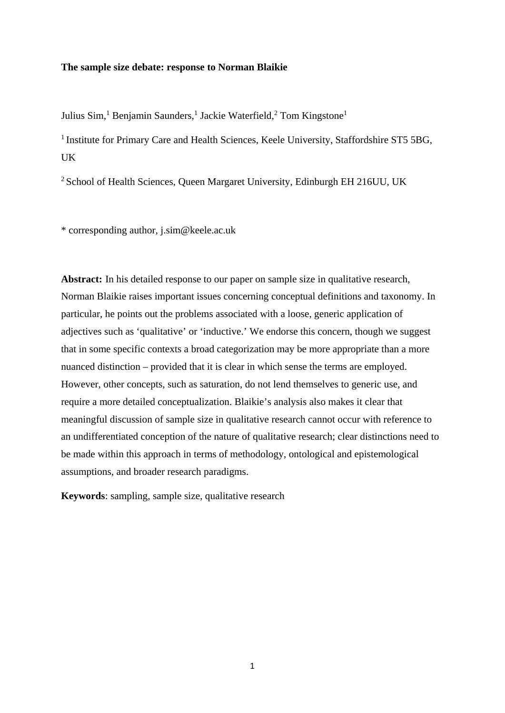## **The sample size debate: response to Norman Blaikie**

Julius Sim,<sup>1</sup> Benjamin Saunders,<sup>1</sup> Jackie Waterfield,<sup>2</sup> Tom Kingstone<sup>1</sup>

<sup>1</sup> Institute for Primary Care and Health Sciences, Keele University, Staffordshire ST5 5BG, UK

<sup>2</sup> School of Health Sciences, Queen Margaret University, Edinburgh EH 216UU, UK

\* corresponding author, j.sim@keele.ac.uk

**Abstract:** In his detailed response to our paper on sample size in qualitative research, Norman Blaikie raises important issues concerning conceptual definitions and taxonomy. In particular, he points out the problems associated with a loose, generic application of adjectives such as 'qualitative' or 'inductive.' We endorse this concern, though we suggest that in some specific contexts a broad categorization may be more appropriate than a more nuanced distinction – provided that it is clear in which sense the terms are employed. However, other concepts, such as saturation, do not lend themselves to generic use, and require a more detailed conceptualization. Blaikie's analysis also makes it clear that meaningful discussion of sample size in qualitative research cannot occur with reference to an undifferentiated conception of the nature of qualitative research; clear distinctions need to be made within this approach in terms of methodology, ontological and epistemological assumptions, and broader research paradigms.

**Keywords**: sampling, sample size, qualitative research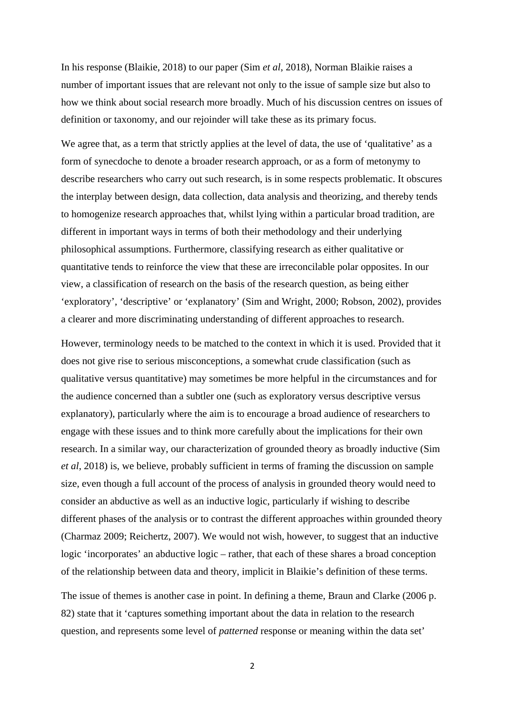In his response (Blaikie, 2018) to our paper (Sim *et al*, 2018), Norman Blaikie raises a number of important issues that are relevant not only to the issue of sample size but also to how we think about social research more broadly. Much of his discussion centres on issues of definition or taxonomy, and our rejoinder will take these as its primary focus.

We agree that, as a term that strictly applies at the level of data, the use of 'qualitative' as a form of synecdoche to denote a broader research approach, or as a form of metonymy to describe researchers who carry out such research, is in some respects problematic. It obscures the interplay between design, data collection, data analysis and theorizing, and thereby tends to homogenize research approaches that, whilst lying within a particular broad tradition, are different in important ways in terms of both their methodology and their underlying philosophical assumptions. Furthermore, classifying research as either qualitative or quantitative tends to reinforce the view that these are irreconcilable polar opposites. In our view, a classification of research on the basis of the research question, as being either 'exploratory', 'descriptive' or 'explanatory' (Sim and Wright, 2000; Robson, 2002), provides a clearer and more discriminating understanding of different approaches to research.

However, terminology needs to be matched to the context in which it is used. Provided that it does not give rise to serious misconceptions, a somewhat crude classification (such as qualitative versus quantitative) may sometimes be more helpful in the circumstances and for the audience concerned than a subtler one (such as exploratory versus descriptive versus explanatory), particularly where the aim is to encourage a broad audience of researchers to engage with these issues and to think more carefully about the implications for their own research. In a similar way, our characterization of grounded theory as broadly inductive (Sim *et al*, 2018) is, we believe, probably sufficient in terms of framing the discussion on sample size, even though a full account of the process of analysis in grounded theory would need to consider an abductive as well as an inductive logic, particularly if wishing to describe different phases of the analysis or to contrast the different approaches within grounded theory (Charmaz 2009; Reichertz, 2007). We would not wish, however, to suggest that an inductive logic 'incorporates' an abductive logic – rather, that each of these shares a broad conception of the relationship between data and theory, implicit in Blaikie's definition of these terms.

The issue of themes is another case in point. In defining a theme, Braun and Clarke (2006 p. 82) state that it 'captures something important about the data in relation to the research question, and represents some level of *patterned* response or meaning within the data set'

2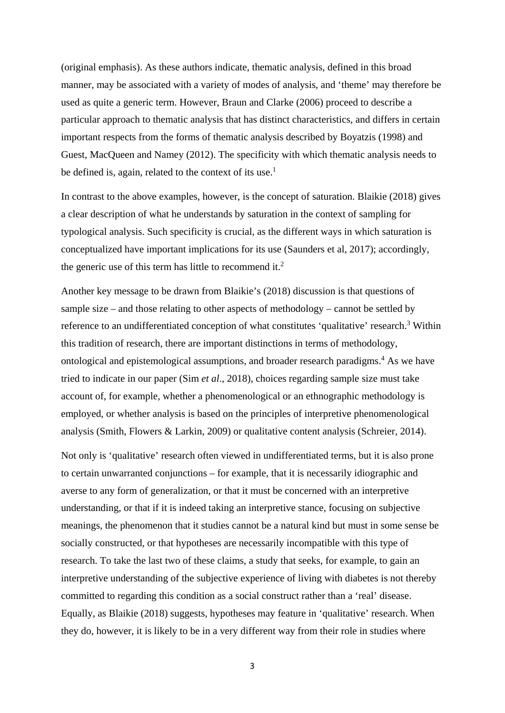(original emphasis). As these authors indicate, thematic analysis, defined in this broad manner, may be associated with a variety of modes of analysis, and 'theme' may therefore be used as quite a generic term. However, Braun and Clarke (2006) proceed to describe a particular approach to thematic analysis that has distinct characteristics, and differs in certain important respects from the forms of thematic analysis described by Boyatzis (1998) and Guest, MacQueen and Namey (2012). The specificity with which thematic analysis needs to be defined is, again, related to the context of its use.<sup>1</sup>

In contrast to the above examples, however, is the concept of saturation. Blaikie (2018) gives a clear description of what he understands by saturation in the context of sampling for typological analysis. Such specificity is crucial, as the different ways in which saturation is conceptualized have important implications for its use (Saunders et al, 2017); accordingly, the generic use of this term has little to recommend it.<sup>2</sup>

Another key message to be drawn from Blaikie's (2018) discussion is that questions of sample size – and those relating to other aspects of methodology – cannot be settled by reference to an undifferentiated conception of what constitutes 'qualitative' research.<sup>3</sup> Within this tradition of research, there are important distinctions in terms of methodology, ontological and epistemological assumptions, and broader research paradigms.<sup>4</sup> As we have tried to indicate in our paper (Sim *et al*., 2018), choices regarding sample size must take account of, for example, whether a phenomenological or an ethnographic methodology is employed, or whether analysis is based on the principles of interpretive phenomenological analysis (Smith, Flowers & Larkin, 2009) or qualitative content analysis (Schreier, 2014).

Not only is 'qualitative' research often viewed in undifferentiated terms, but it is also prone to certain unwarranted conjunctions – for example, that it is necessarily idiographic and averse to any form of generalization, or that it must be concerned with an interpretive understanding, or that if it is indeed taking an interpretive stance, focusing on subjective meanings, the phenomenon that it studies cannot be a natural kind but must in some sense be socially constructed, or that hypotheses are necessarily incompatible with this type of research. To take the last two of these claims, a study that seeks, for example, to gain an interpretive understanding of the subjective experience of living with diabetes is not thereby committed to regarding this condition as a social construct rather than a 'real' disease. Equally, as Blaikie (2018) suggests, hypotheses may feature in 'qualitative' research. When they do, however, it is likely to be in a very different way from their role in studies where

3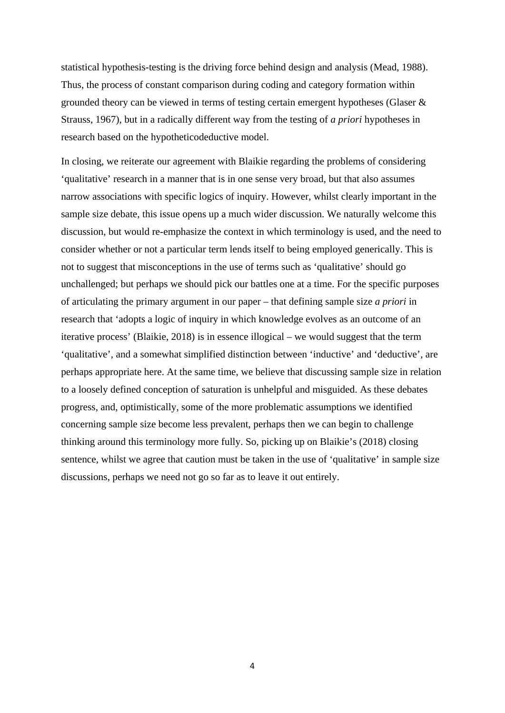statistical hypothesis-testing is the driving force behind design and analysis (Mead, 1988). Thus, the process of constant comparison during coding and category formation within grounded theory can be viewed in terms of testing certain emergent hypotheses (Glaser & Strauss, 1967), but in a radically different way from the testing of *a priori* hypotheses in research based on the hypotheticodeductive model.

In closing, we reiterate our agreement with Blaikie regarding the problems of considering 'qualitative' research in a manner that is in one sense very broad, but that also assumes narrow associations with specific logics of inquiry. However, whilst clearly important in the sample size debate, this issue opens up a much wider discussion. We naturally welcome this discussion, but would re-emphasize the context in which terminology is used, and the need to consider whether or not a particular term lends itself to being employed generically. This is not to suggest that misconceptions in the use of terms such as 'qualitative' should go unchallenged; but perhaps we should pick our battles one at a time. For the specific purposes of articulating the primary argument in our paper – that defining sample size *a priori* in research that 'adopts a logic of inquiry in which knowledge evolves as an outcome of an iterative process' (Blaikie, 2018) is in essence illogical – we would suggest that the term 'qualitative', and a somewhat simplified distinction between 'inductive' and 'deductive', are perhaps appropriate here. At the same time, we believe that discussing sample size in relation to a loosely defined conception of saturation is unhelpful and misguided. As these debates progress, and, optimistically, some of the more problematic assumptions we identified concerning sample size become less prevalent, perhaps then we can begin to challenge thinking around this terminology more fully. So, picking up on Blaikie's (2018) closing sentence, whilst we agree that caution must be taken in the use of 'qualitative' in sample size discussions, perhaps we need not go so far as to leave it out entirely.

4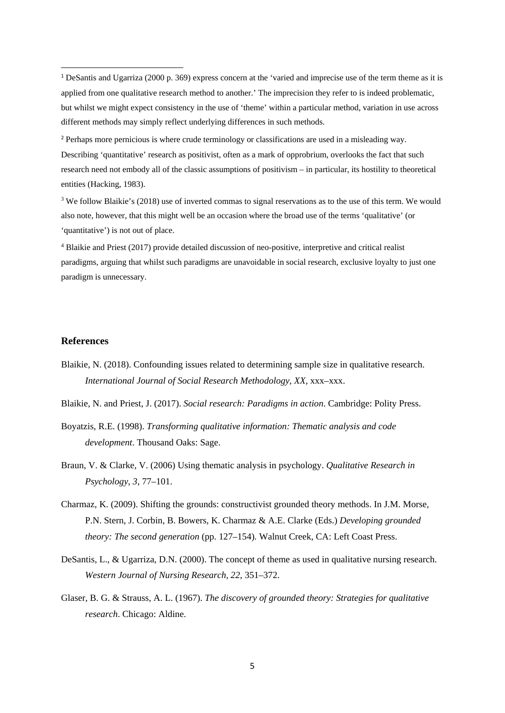<sup>2</sup> Perhaps more pernicious is where crude terminology or classifications are used in a misleading way. Describing 'quantitative' research as positivist, often as a mark of opprobrium, overlooks the fact that such research need not embody all of the classic assumptions of positivism – in particular, its hostility to theoretical entities (Hacking, 1983).

<sup>3</sup> We follow Blaikie's (2018) use of inverted commas to signal reservations as to the use of this term. We would also note, however, that this might well be an occasion where the broad use of the terms 'qualitative' (or 'quantitative') is not out of place.

4 Blaikie and Priest (2017) provide detailed discussion of neo-positive, interpretive and critical realist paradigms, arguing that whilst such paradigms are unavoidable in social research, exclusive loyalty to just one paradigm is unnecessary.

## **References**

Blaikie, N. (2018). Confounding issues related to determining sample size in qualitative research. *International Journal of Social Research Methodology, XX,* xxx–xxx.

Blaikie, N. and Priest, J. (2017). *Social research: Paradigms in action*. Cambridge: Polity Press.

- Boyatzis, R.E. (1998). *Transforming qualitative information: Thematic analysis and code development*. Thousand Oaks: Sage.
- Braun, V. & Clarke, V. (2006) Using thematic analysis in psychology. *Qualitative Research in Psychology*, *3*, 77–101.
- Charmaz, K. (2009). Shifting the grounds: constructivist grounded theory methods. In J.M. Morse, P.N. Stern, J. Corbin, B. Bowers, K. Charmaz & A.E. Clarke (Eds.) *Developing grounded theory: The second generation* (pp. 127–154)*.* Walnut Creek, CA: Left Coast Press.
- DeSantis, L., & Ugarriza, D.N. (2000). The concept of theme as used in qualitative nursing research. *Western Journal of Nursing Research, 22*, 351–372.
- Glaser, B. G. & Strauss, A. L. (1967). *The discovery of grounded theory: Strategies for qualitative research*. Chicago: Aldine.

<sup>1</sup> DeSantis and Ugarriza (2000 p. 369) express concern at the 'varied and imprecise use of the term theme as it is applied from one qualitative research method to another.' The imprecision they refer to is indeed problematic, but whilst we might expect consistency in the use of 'theme' within a particular method, variation in use across different methods may simply reflect underlying differences in such methods.